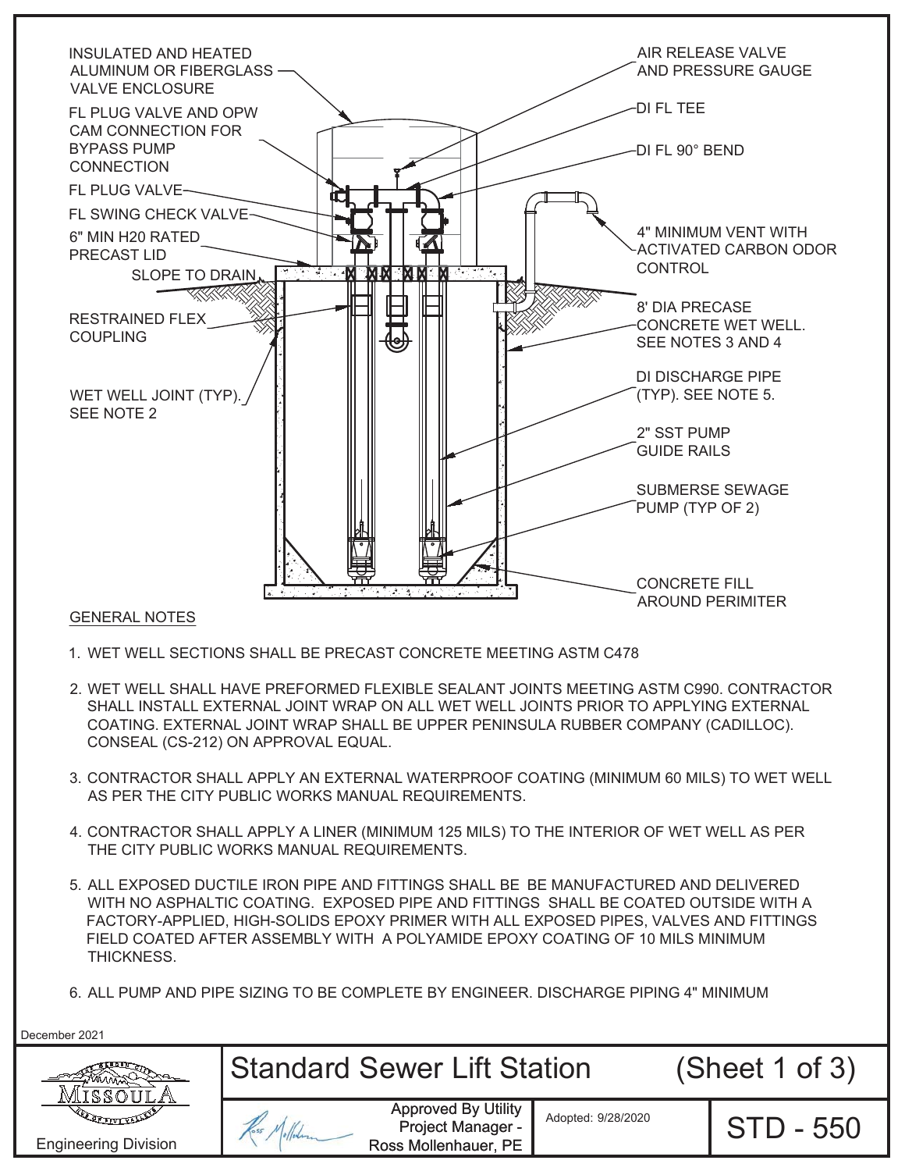

## 1. WET WELL SECTIONS SHALL BE PRECAST CONCRETE MEETING ASTM C478

- 2. WET WELL SHALL HAVE PREFORMED FLEXIBLE SEALANT JOINTS MEETING ASTM C990. CONTRACTOR SHALL INSTALL EXTERNAL JOINT WRAP ON ALL WET WELL JOINTS PRIOR TO APPLYING EXTERNAL COATING. EXTERNAL JOINT WRAP SHALL BE UPPER PENINSULA RUBBER COMPANY (CADILLOC). CONSEAL (CS-212) ON APPROVAL EQUAL.
- 3. CONTRACTOR SHALL APPLY AN EXTERNAL WATERPROOF COATING (MINIMUM 60 MILS) TO WET WELL AS PER THE CITY PUBLIC WORKS MANUAL REQUIREMENTS.
- 4. CONTRACTOR SHALL APPLY A LINER (MINIMUM 125 MILS) TO THE INTERIOR OF WET WELL AS PER THE CITY PUBLIC WORKS MANUAL REQUIREMENTS.
- 5. ALL EXPOSED DUCTILE IRON PIPE AND FITTINGS SHALL BE BE MANUFACTURED AND DELIVERED WITH NO ASPHALTIC COATING. EXPOSED PIPE AND FITTINGS SHALL BE COATED OUTSIDE WITH A FACTORY-APPLIED, HIGH-SOLIDS EPOXY PRIMER WITH ALL EXPOSED PIPES, VALVES AND FITTINGS FIELD COATED AFTER ASSEMBLY WITH A POLYAMIDE EPOXY COATING OF 10 MILS MINIMUM THICKNESS.
- 6. ALL PUMP AND PIPE SIZING TO BE COMPLETE BY ENGINEER. DISCHARGE PIPING 4" MINIMUM

December 2021

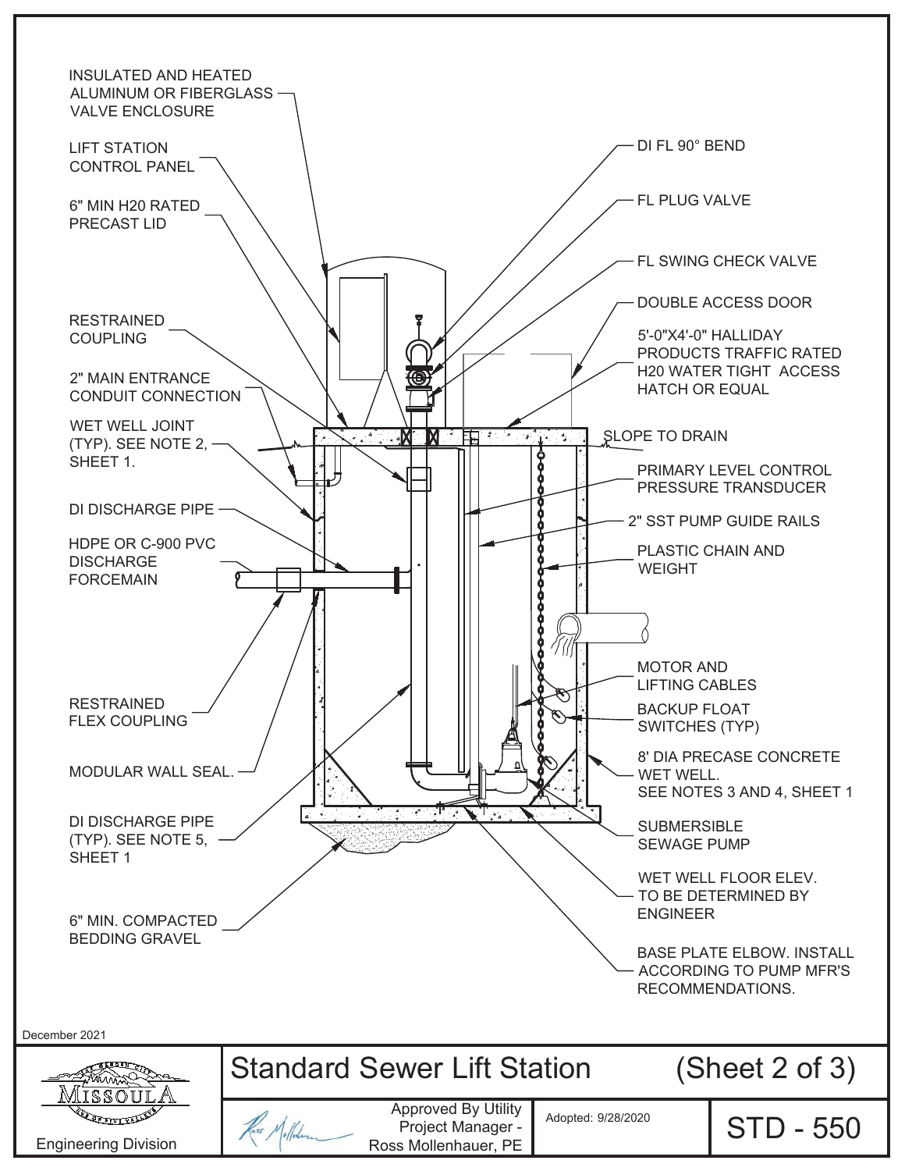